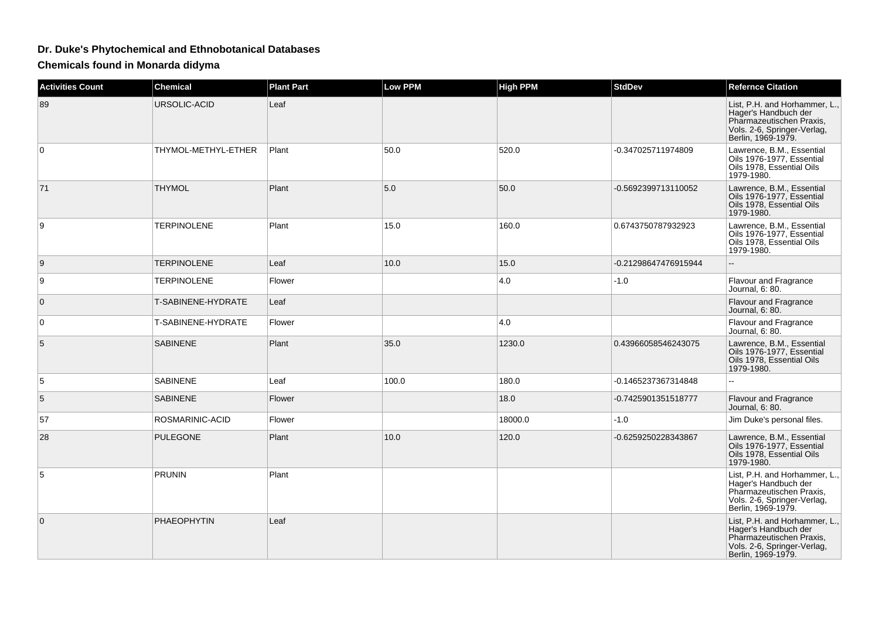## **Dr. Duke's Phytochemical and Ethnobotanical Databases**

**Chemicals found in Monarda didyma**

| <b>Activities Count</b> | <b>Chemical</b>     | <b>Plant Part</b> | <b>Low PPM</b> | <b>High PPM</b> | <b>StdDev</b>        | <b>Refernce Citation</b>                                                                                                               |
|-------------------------|---------------------|-------------------|----------------|-----------------|----------------------|----------------------------------------------------------------------------------------------------------------------------------------|
| 89                      | URSOLIC-ACID        | Leaf              |                |                 |                      | List, P.H. and Horhammer, L.,<br>Hager's Handbuch der<br>Pharmazeutischen Praxis,<br>Vols. 2-6, Springer-Verlag,<br>Berlin, 1969-1979. |
| 0                       | THYMOL-METHYL-ETHER | Plant             | 50.0           | 520.0           | -0.347025711974809   | Lawrence, B.M., Essential<br>Oils 1976-1977, Essential<br>Oils 1978, Essential Oils<br>1979-1980.                                      |
| 71                      | <b>THYMOL</b>       | Plant             | 5.0            | 50.0            | -0.5692399713110052  | Lawrence, B.M., Essential<br>Oils 1976-1977, Essential<br>Oils 1978. Essential Oils<br>1979-1980.                                      |
| 9                       | <b>TERPINOLENE</b>  | Plant             | 15.0           | 160.0           | 0.6743750787932923   | Lawrence, B.M., Essential<br>Oils 1976-1977, Essential<br>Oils 1978, Essential Oils<br>1979-1980.                                      |
| 9                       | <b>TERPINOLENE</b>  | Leaf              | 10.0           | 15.0            | -0.21298647476915944 |                                                                                                                                        |
| 9                       | <b>TERPINOLENE</b>  | Flower            |                | 4.0             | $-1.0$               | Flavour and Fragrance<br>Journal, 6: 80.                                                                                               |
| $\mathbf 0$             | T-SABINENE-HYDRATE  | Leaf              |                |                 |                      | Flavour and Fragrance<br>Journal, 6: 80.                                                                                               |
| $\mathbf 0$             | T-SABINENE-HYDRATE  | Flower            |                | 4.0             |                      | Flavour and Fragrance<br>Journal, 6: 80.                                                                                               |
| 5                       | <b>SABINENE</b>     | Plant             | 35.0           | 1230.0          | 0.43966058546243075  | Lawrence, B.M., Essential<br>Oils 1976-1977, Essential<br>Oils 1978, Essential Oils<br>1979-1980.                                      |
| 5                       | <b>SABINENE</b>     | Leaf              | 100.0          | 180.0           | -0.1465237367314848  |                                                                                                                                        |
| 5                       | <b>SABINENE</b>     | Flower            |                | 18.0            | -0.7425901351518777  | Flavour and Fragrance<br>Journal, 6: 80.                                                                                               |
| 57                      | ROSMARINIC-ACID     | Flower            |                | 18000.0         | $-1.0$               | Jim Duke's personal files.                                                                                                             |
| 28                      | <b>PULEGONE</b>     | Plant             | 10.0           | 120.0           | -0.6259250228343867  | Lawrence, B.M., Essential<br>Oils 1976-1977, Essential<br>Oils 1978, Essential Oils<br>1979-1980.                                      |
| 5                       | <b>PRUNIN</b>       | Plant             |                |                 |                      | List, P.H. and Horhammer, L.,<br>Hager's Handbuch der<br>Pharmazeutischen Praxis,<br>Vols. 2-6, Springer-Verlag,<br>Berlin, 1969-1979. |
| $\mathbf{0}$            | <b>PHAEOPHYTIN</b>  | Leaf              |                |                 |                      | List, P.H. and Horhammer, L.,<br>Hager's Handbuch der<br>Pharmazeutischen Praxis,<br>Vols. 2-6, Springer-Verlag,<br>Berlin, 1969-1979. |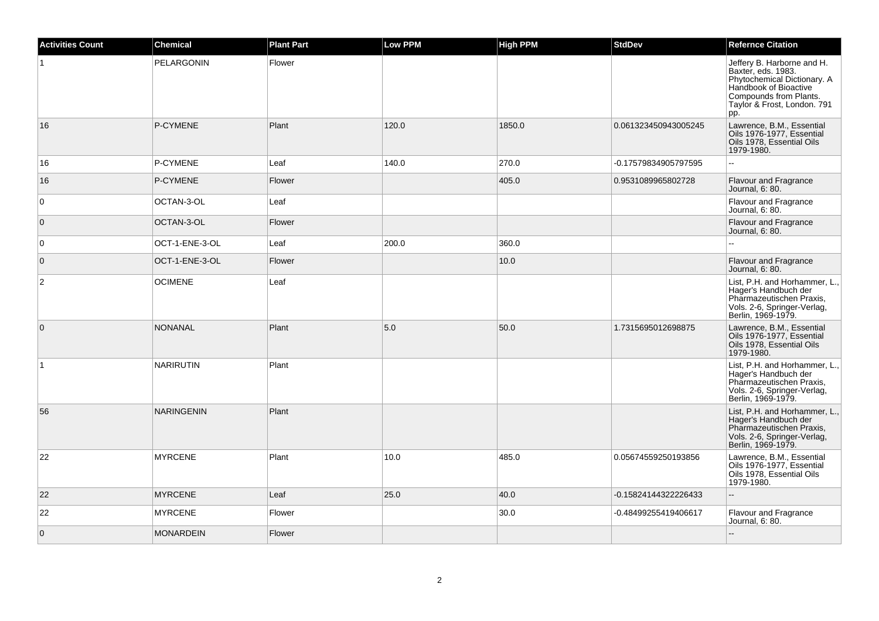| <b>Activities Count</b> | <b>Chemical</b>   | <b>Plant Part</b> | <b>Low PPM</b> | <b>High PPM</b> | <b>StdDev</b>        | <b>Refernce Citation</b>                                                                                                                                                 |
|-------------------------|-------------------|-------------------|----------------|-----------------|----------------------|--------------------------------------------------------------------------------------------------------------------------------------------------------------------------|
| $\mathbf{1}$            | PELARGONIN        | Flower            |                |                 |                      | Jeffery B. Harborne and H.<br>Baxter, eds. 1983.<br>Phytochemical Dictionary. A<br>Handbook of Bioactive<br>Compounds from Plants.<br>Taylor & Frost, London. 791<br>pp. |
| 16                      | P-CYMENE          | Plant             | 120.0          | 1850.0          | 0.061323450943005245 | Lawrence, B.M., Essential<br>Oils 1976-1977, Essential<br>Oils 1978, Essential Oils<br>1979-1980.                                                                        |
| 16                      | P-CYMENE          | Leaf              | 140.0          | 270.0           | -0.17579834905797595 | $\overline{a}$                                                                                                                                                           |
| 16                      | P-CYMENE          | <b>Flower</b>     |                | 405.0           | 0.9531089965802728   | <b>Flavour and Fragrance</b><br>Journal, 6: 80.                                                                                                                          |
| $\mathbf 0$             | OCTAN-3-OL        | Leaf              |                |                 |                      | Flavour and Fragrance<br>Journal, 6: 80.                                                                                                                                 |
| $\overline{0}$          | OCTAN-3-OL        | Flower            |                |                 |                      | <b>Flavour and Fragrance</b><br>Journal, 6: 80.                                                                                                                          |
| 0                       | OCT-1-ENE-3-OL    | Leaf              | 200.0          | 360.0           |                      |                                                                                                                                                                          |
| $\overline{0}$          | OCT-1-ENE-3-OL    | Flower            |                | 10.0            |                      | Flavour and Fragrance<br>Journal, 6: 80.                                                                                                                                 |
| $\overline{c}$          | <b>OCIMENE</b>    | Leaf              |                |                 |                      | List, P.H. and Horhammer, L.,<br>Hager's Handbuch der<br>Pharmazeutischen Praxis,<br>Vols. 2-6, Springer-Verlag,<br>Berlin, 1969-1979.                                   |
| $\overline{0}$          | <b>NONANAL</b>    | Plant             | 5.0            | 50.0            | 1.7315695012698875   | Lawrence, B.M., Essential<br>Oils 1976-1977, Essential<br>Oils 1978, Essential Oils<br>1979-1980.                                                                        |
| $\overline{1}$          | <b>NARIRUTIN</b>  | Plant             |                |                 |                      | List, P.H. and Horhammer, L.,<br>Hager's Handbuch der<br>Pharmazeutischen Praxis,<br>Vols. 2-6, Springer-Verlag,<br>Berlin, 1969-1979.                                   |
| 56                      | <b>NARINGENIN</b> | Plant             |                |                 |                      | List, P.H. and Horhammer, L.,<br>Hager's Handbuch der<br>Pharmazeutischen Praxis,<br>Vols. 2-6, Springer-Verlag,<br>Berlin, 1969-1979.                                   |
| 22                      | <b>MYRCENE</b>    | Plant             | 10.0           | 485.0           | 0.05674559250193856  | Lawrence, B.M., Essential<br>Oils 1976-1977, Essential<br>Oils 1978, Essential Oils<br>1979-1980.                                                                        |
| 22                      | <b>MYRCENE</b>    | Leaf              | 25.0           | 40.0            | -0.15824144322226433 | $\mathbf{L}$                                                                                                                                                             |
| 22                      | <b>MYRCENE</b>    | Flower            |                | 30.0            | -0.48499255419406617 | Flavour and Fragrance<br>Journal, 6: 80.                                                                                                                                 |
| $\mathbf 0$             | <b>MONARDEIN</b>  | Flower            |                |                 |                      | $\mathbf{L}$                                                                                                                                                             |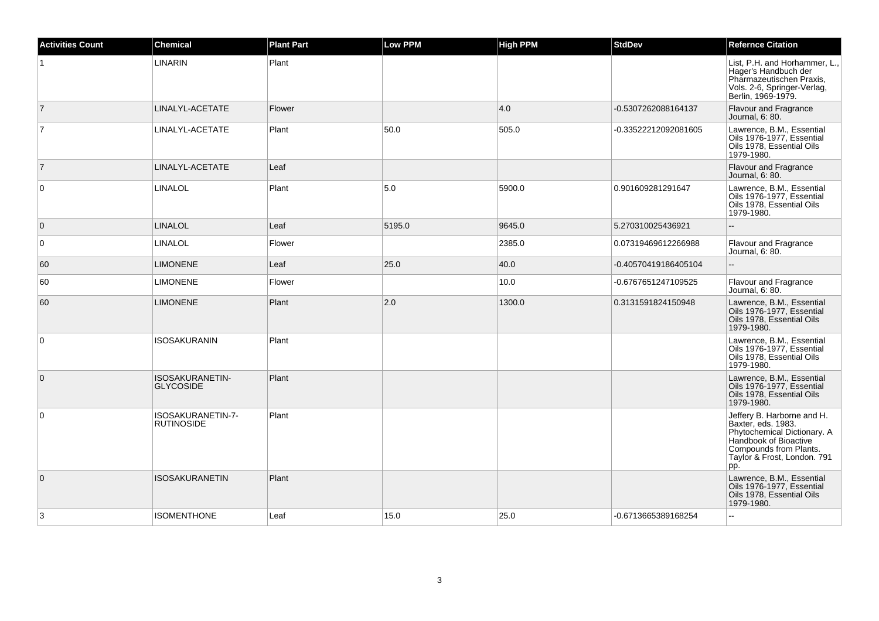| <b>Activities Count</b> | <b>Chemical</b>                        | <b>Plant Part</b> | <b>Low PPM</b> | <b>High PPM</b> | <b>StdDev</b>        | <b>Refernce Citation</b>                                                                                                                                                 |
|-------------------------|----------------------------------------|-------------------|----------------|-----------------|----------------------|--------------------------------------------------------------------------------------------------------------------------------------------------------------------------|
|                         | <b>LINARIN</b>                         | Plant             |                |                 |                      | List, P.H. and Horhammer, L.,<br>Hager's Handbuch der<br>Pharmazeutischen Praxis,<br>Vols. 2-6, Springer-Verlag,<br>Berlin, 1969-1979.                                   |
| $\vert$ 7               | LINALYL-ACETATE                        | Flower            |                | 4.0             | -0.5307262088164137  | <b>Flavour and Fragrance</b><br>Journal, 6: 80.                                                                                                                          |
| $\overline{7}$          | LINALYL-ACETATE                        | Plant             | 50.0           | 505.0           | -0.33522212092081605 | Lawrence, B.M., Essential<br>Oils 1976-1977, Essential<br>Oils 1978, Essential Oils<br>1979-1980.                                                                        |
| $\vert$ 7               | LINALYL-ACETATE                        | Leaf              |                |                 |                      | <b>Flavour and Fragrance</b><br>Journal, 6: 80.                                                                                                                          |
| $\overline{0}$          | <b>LINALOL</b>                         | Plant             | 5.0            | 5900.0          | 0.901609281291647    | Lawrence, B.M., Essential<br>Oils 1976-1977, Essential<br>Oils 1978, Essential Oils<br>1979-1980.                                                                        |
| $\overline{0}$          | <b>LINALOL</b>                         | Leaf              | 5195.0         | 9645.0          | 5.270310025436921    |                                                                                                                                                                          |
| $\overline{0}$          | LINALOL                                | Flower            |                | 2385.0          | 0.07319469612266988  | <b>Flavour and Fragrance</b><br>Journal, 6: 80.                                                                                                                          |
| 60                      | <b>LIMONENE</b>                        | Leaf              | 25.0           | 40.0            | -0.40570419186405104 |                                                                                                                                                                          |
| 60                      | <b>LIMONENE</b>                        | Flower            |                | 10.0            | -0.6767651247109525  | Flavour and Fragrance<br>Journal, 6: 80.                                                                                                                                 |
| 60                      | <b>LIMONENE</b>                        | Plant             | 2.0            | 1300.0          | 0.3131591824150948   | Lawrence, B.M., Essential<br>Oils 1976-1977, Essential<br>Oils 1978, Essential Oils<br>1979-1980.                                                                        |
| $\overline{0}$          | <b>ISOSAKURANIN</b>                    | Plant             |                |                 |                      | Lawrence, B.M., Essential<br>Oils 1976-1977, Essential<br>Oils 1978, Essential Oils<br>1979-1980.                                                                        |
| $\overline{0}$          | ISOSAKURANETIN-<br><b>GLYCOSIDE</b>    | Plant             |                |                 |                      | Lawrence, B.M., Essential<br>Oils 1976-1977. Essential<br>Oils 1978, Essential Oils<br>1979-1980.                                                                        |
| $\overline{0}$          | ISOSAKURANETIN-7-<br><b>RUTINOSIDE</b> | Plant             |                |                 |                      | Jeffery B. Harborne and H.<br>Baxter, eds. 1983.<br>Phytochemical Dictionary. A<br>Handbook of Bioactive<br>Compounds from Plants.<br>Taylor & Frost, London. 791<br>pp. |
| $\overline{0}$          | <b>ISOSAKURANETIN</b>                  | Plant             |                |                 |                      | Lawrence, B.M., Essential<br>Oils 1976-1977, Essential<br>Oils 1978, Essential Oils<br>1979-1980.                                                                        |
| 3                       | <b>ISOMENTHONE</b>                     | Leaf              | 15.0           | 25.0            | -0.6713665389168254  | $\sim$                                                                                                                                                                   |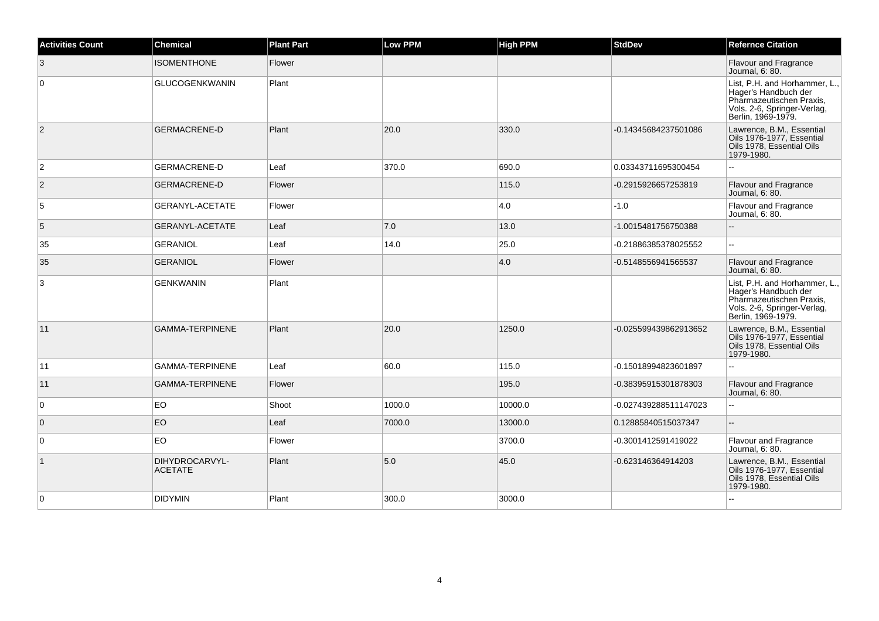| <b>Activities Count</b> | <b>Chemical</b>                  | <b>Plant Part</b> | <b>Low PPM</b> | <b>High PPM</b> | <b>StdDev</b>         | <b>Refernce Citation</b>                                                                                                               |
|-------------------------|----------------------------------|-------------------|----------------|-----------------|-----------------------|----------------------------------------------------------------------------------------------------------------------------------------|
| 3                       | <b>ISOMENTHONE</b>               | Flower            |                |                 |                       | <b>Flavour and Fragrance</b><br>Journal, 6: 80.                                                                                        |
| $\mathbf 0$             | <b>GLUCOGENKWANIN</b>            | Plant             |                |                 |                       | List, P.H. and Horhammer, L.,<br>Hager's Handbuch der<br>Pharmazeutischen Praxis,<br>Vols. 2-6, Springer-Verlag,<br>Berlin, 1969-1979. |
| $\overline{2}$          | <b>GERMACRENE-D</b>              | Plant             | 20.0           | 330.0           | -0.14345684237501086  | Lawrence, B.M., Essential<br>Oils 1976-1977, Essential<br>Oils 1978. Essential Oils<br>1979-1980.                                      |
| $\overline{2}$          | <b>GERMACRENE-D</b>              | Leaf              | 370.0          | 690.0           | 0.03343711695300454   |                                                                                                                                        |
| $\overline{2}$          | <b>GERMACRENE-D</b>              | Flower            |                | 115.0           | -0.2915926657253819   | <b>Flavour and Fragrance</b><br>Journal, 6: 80.                                                                                        |
| 5                       | <b>GERANYL-ACETATE</b>           | Flower            |                | 4.0             | $-1.0$                | Flavour and Fragrance<br>Journal, 6: 80.                                                                                               |
| 5                       | <b>GERANYL-ACETATE</b>           | Leaf              | 7.0            | 13.0            | -1.0015481756750388   | $\sim$                                                                                                                                 |
| 35                      | <b>GERANIOL</b>                  | Leaf              | 14.0           | 25.0            | -0.21886385378025552  | $\sim$                                                                                                                                 |
| 35                      | <b>GERANIOL</b>                  | Flower            |                | 4.0             | -0.5148556941565537   | <b>Flavour and Fragrance</b><br>Journal, 6: 80.                                                                                        |
| 3                       | GENKWANIN                        | Plant             |                |                 |                       | List, P.H. and Horhammer, L.,<br>Hager's Handbuch der<br>Pharmazeutischen Praxis,<br>Vols. 2-6, Springer-Verlag,<br>Berlin, 1969-1979. |
| 11                      | <b>GAMMA-TERPINENE</b>           | Plant             | 20.0           | 1250.0          | -0.025599439862913652 | Lawrence, B.M., Essential<br>Oils 1976-1977, Essential<br>Oils 1978, Essential Oils<br>1979-1980.                                      |
| 11                      | <b>GAMMA-TERPINENE</b>           | Leaf              | 60.0           | 115.0           | -0.15018994823601897  | $\mathbf{u}$                                                                                                                           |
| 11                      | <b>GAMMA-TERPINENE</b>           | Flower            |                | 195.0           | -0.38395915301878303  | <b>Flavour and Fragrance</b><br>Journal, 6: 80.                                                                                        |
| 0                       | EO                               | Shoot             | 1000.0         | 10000.0         | -0.027439288511147023 | $\overline{\phantom{a}}$                                                                                                               |
| $\overline{0}$          | EO                               | Leaf              | 7000.0         | 13000.0         | 0.12885840515037347   | $\overline{\phantom{a}}$                                                                                                               |
| 0                       | EO                               | Flower            |                | 3700.0          | -0.3001412591419022   | Flavour and Fragrance<br>Journal, 6: 80.                                                                                               |
| $\mathbf{1}$            | DIHYDROCARVYL-<br><b>ACETATE</b> | Plant             | 5.0            | 45.0            | -0.623146364914203    | Lawrence, B.M., Essential<br>Oils 1976-1977, Essential<br>Oils 1978, Essential Oils<br>1979-1980.                                      |
| $\mathbf 0$             | <b>DIDYMIN</b>                   | Plant             | 300.0          | 3000.0          |                       |                                                                                                                                        |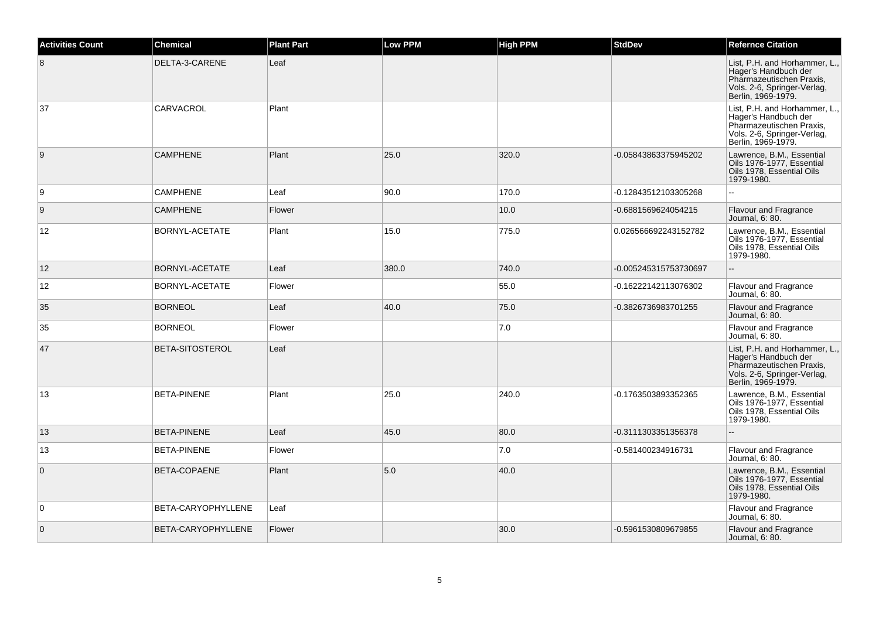| <b>Activities Count</b> | Chemical                  | <b>Plant Part</b> | <b>Low PPM</b> | <b>High PPM</b> | <b>StdDev</b>         | <b>Refernce Citation</b>                                                                                                               |
|-------------------------|---------------------------|-------------------|----------------|-----------------|-----------------------|----------------------------------------------------------------------------------------------------------------------------------------|
| 8                       | DELTA-3-CARENE            | Leaf              |                |                 |                       | List, P.H. and Horhammer, L.,<br>Hager's Handbuch der<br>Pharmazeutischen Praxis,<br>Vols. 2-6, Springer-Verlag,<br>Berlin, 1969-1979. |
| 37                      | CARVACROL                 | Plant             |                |                 |                       | List, P.H. and Horhammer, L.,<br>Hager's Handbuch der<br>Pharmazeutischen Praxis,<br>Vols. 2-6, Springer-Verlag,<br>Berlin, 1969-1979. |
| 9                       | <b>CAMPHENE</b>           | Plant             | 25.0           | 320.0           | -0.05843863375945202  | Lawrence, B.M., Essential<br>Oils 1976-1977, Essential<br>Oils 1978, Essential Oils<br>1979-1980.                                      |
| 9                       | <b>CAMPHENE</b>           | Leaf              | 90.0           | 170.0           | -0.12843512103305268  | LL.                                                                                                                                    |
| 9                       | <b>CAMPHENE</b>           | Flower            |                | 10.0            | -0.6881569624054215   | <b>Flavour and Fragrance</b><br>Journal, 6: 80.                                                                                        |
| 12                      | BORNYL-ACETATE            | Plant             | 15.0           | 775.0           | 0.026566692243152782  | Lawrence, B.M., Essential<br>Oils 1976-1977, Essential<br>Oils 1978, Essential Oils<br>1979-1980.                                      |
| 12 <sup>2</sup>         | <b>BORNYL-ACETATE</b>     | Leaf              | 380.0          | 740.0           | -0.005245315753730697 | $\overline{\phantom{a}}$                                                                                                               |
| 12                      | <b>BORNYL-ACETATE</b>     | Flower            |                | 55.0            | -0.16222142113076302  | Flavour and Fragrance<br>Journal, 6: 80.                                                                                               |
| 35                      | <b>BORNEOL</b>            | Leaf              | 40.0           | 75.0            | -0.3826736983701255   | <b>Flavour and Fragrance</b><br>Journal, 6: 80.                                                                                        |
| 35                      | <b>BORNEOL</b>            | Flower            |                | 7.0             |                       | Flavour and Fragrance<br>Journal, 6: 80.                                                                                               |
| 47                      | BETA-SITOSTEROL           | Leaf              |                |                 |                       | List, P.H. and Horhammer, L.,<br>Hager's Handbuch der<br>Pharmazeutischen Praxis,<br>Vols. 2-6, Springer-Verlag,<br>Berlin, 1969-1979. |
| 13                      | <b>BETA-PINENE</b>        | Plant             | 25.0           | 240.0           | -0.1763503893352365   | Lawrence, B.M., Essential<br>Oils 1976-1977, Essential<br>Oils 1978, Essential Oils<br>1979-1980.                                      |
| 13                      | <b>BETA-PINENE</b>        | Leaf              | 45.0           | 80.0            | -0.3111303351356378   |                                                                                                                                        |
| 13                      | <b>BETA-PINENE</b>        | Flower            |                | 7.0             | -0.581400234916731    | Flavour and Fragrance<br>Journal, 6: 80.                                                                                               |
| $\overline{0}$          | BETA-COPAENE              | Plant             | 5.0            | 40.0            |                       | Lawrence, B.M., Essential<br>Oils 1976-1977, Essential<br>Oils 1978, Essential Oils<br>1979-1980.                                      |
| $\overline{0}$          | <b>BETA-CARYOPHYLLENE</b> | Leaf              |                |                 |                       | Flavour and Fragrance<br>Journal, 6: 80.                                                                                               |
| $\overline{0}$          | BETA-CARYOPHYLLENE        | Flower            |                | 30.0            | -0.5961530809679855   | <b>Flavour and Fragrance</b><br>Journal, 6: 80.                                                                                        |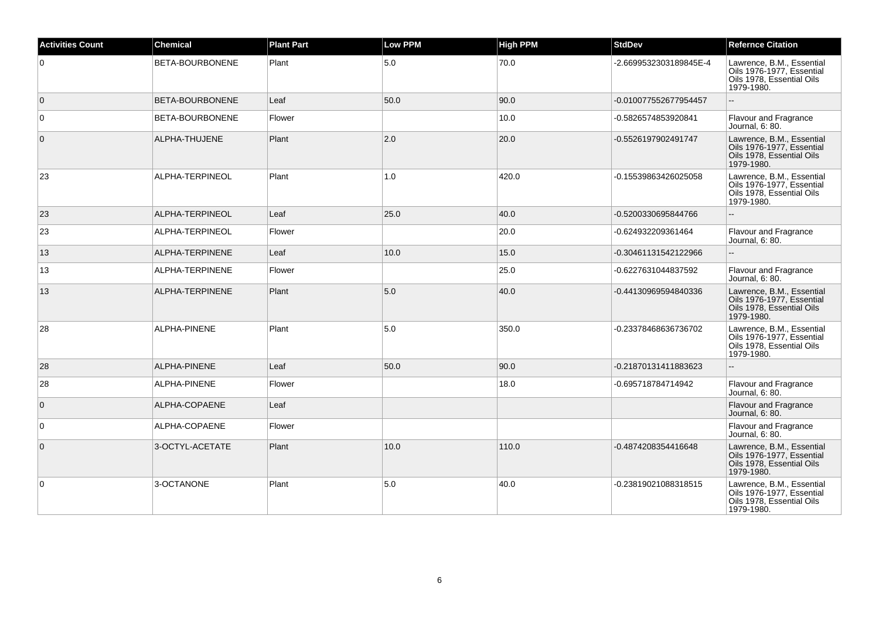| <b>Activities Count</b> | <b>Chemical</b>        | <b>Plant Part</b> | <b>Low PPM</b> | <b>High PPM</b> | <b>StdDev</b>          | <b>Refernce Citation</b>                                                                          |
|-------------------------|------------------------|-------------------|----------------|-----------------|------------------------|---------------------------------------------------------------------------------------------------|
| $\overline{0}$          | BETA-BOURBONENE        | Plant             | 5.0            | 70.0            | -2.6699532303189845E-4 | Lawrence, B.M., Essential<br>Oils 1976-1977, Essential<br>Oils 1978, Essential Oils<br>1979-1980. |
| $\overline{0}$          | <b>BETA-BOURBONENE</b> | Leaf              | 50.0           | 90.0            | -0.010077552677954457  | $\sim$                                                                                            |
| $\overline{0}$          | <b>BETA-BOURBONENE</b> | Flower            |                | 10.0            | -0.5826574853920841    | <b>Flavour and Fragrance</b><br>Journal, 6: 80.                                                   |
| $\overline{0}$          | ALPHA-THUJENE          | Plant             | 2.0            | 20.0            | -0.5526197902491747    | Lawrence, B.M., Essential<br>Oils 1976-1977, Essential<br>Oils 1978, Essential Oils<br>1979-1980. |
| 23                      | ALPHA-TERPINEOL        | Plant             | 1.0            | 420.0           | -0.15539863426025058   | Lawrence, B.M., Essential<br>Oils 1976-1977, Essential<br>Oils 1978, Essential Oils<br>1979-1980. |
| 23                      | ALPHA-TERPINEOL        | Leaf              | 25.0           | 40.0            | -0.5200330695844766    |                                                                                                   |
| 23                      | ALPHA-TERPINEOL        | Flower            |                | 20.0            | -0.624932209361464     | <b>Flavour and Fragrance</b><br>Journal, 6: 80.                                                   |
| 13                      | ALPHA-TERPINENE        | Leaf              | 10.0           | 15.0            | -0.30461131542122966   | $\sim$                                                                                            |
| 13                      | ALPHA-TERPINENE        | Flower            |                | 25.0            | -0.6227631044837592    | Flavour and Fragrance<br>Journal, 6: 80.                                                          |
| 13                      | ALPHA-TERPINENE        | Plant             | 5.0            | 40.0            | -0.44130969594840336   | Lawrence, B.M., Essential<br>Oils 1976-1977, Essential<br>Oils 1978, Essential Oils<br>1979-1980. |
| 28                      | <b>ALPHA-PINENE</b>    | Plant             | 5.0            | 350.0           | -0.23378468636736702   | Lawrence, B.M., Essential<br>Oils 1976-1977. Essential<br>Oils 1978, Essential Oils<br>1979-1980. |
| 28                      | ALPHA-PINENE           | Leaf              | 50.0           | 90.0            | -0.21870131411883623   | $\overline{a}$                                                                                    |
| 28                      | ALPHA-PINENE           | Flower            |                | 18.0            | -0.695718784714942     | Flavour and Fragrance<br>Journal, 6: 80.                                                          |
| $\overline{0}$          | ALPHA-COPAENE          | Leaf              |                |                 |                        | Flavour and Fragrance<br>Journal, 6: 80.                                                          |
| $\overline{0}$          | ALPHA-COPAENE          | Flower            |                |                 |                        | Flavour and Fragrance<br>Journal, 6: 80.                                                          |
| $\overline{0}$          | 3-OCTYL-ACETATE        | Plant             | 10.0           | 110.0           | -0.4874208354416648    | Lawrence, B.M., Essential<br>Oils 1976-1977, Essential<br>Oils 1978, Essential Oils<br>1979-1980. |
| $\overline{0}$          | 3-OCTANONE             | Plant             | 5.0            | 40.0            | -0.23819021088318515   | Lawrence, B.M., Essential<br>Oils 1976-1977, Essential<br>Oils 1978, Essential Oils<br>1979-1980. |